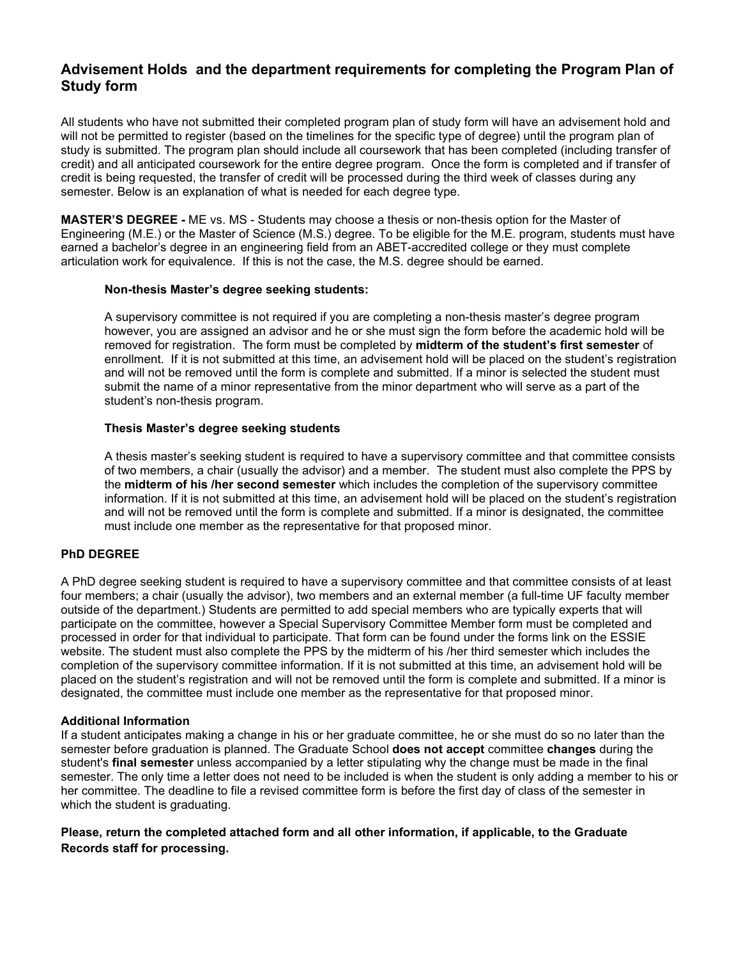# **Advisement Holds and the department requirements for completing the Program Plan of Study form**

All students who have not submitted their completed program plan of study form will have an advisement hold and will not be permitted to register (based on the timelines for the specific type of degree) until the program plan of study is submitted. The program plan should include all coursework that has been completed (including transfer of credit) and all anticipated coursework for the entire degree program. Once the form is completed and if transfer of credit is being requested, the transfer of credit will be processed during the third week of classes during any semester. Below is an explanation of what is needed for each degree type.

**MASTER'S DEGREE -** ME vs. MS - Students may choose a thesis or non-thesis option for the Master of Engineering (M.E.) or the Master of Science (M.S.) degree. To be eligible for the M.E. program, students must have earned a bachelor's degree in an engineering field from an ABET-accredited college or they must complete articulation work for equivalence. If this is not the case, the M.S. degree should be earned.

### **Non-thesis Master's degree seeking students:**

A supervisory committee is not required if you are completing a non-thesis master's degree program however, you are assigned an advisor and he or she must sign the form before the academic hold will be removed for registration. The form must be completed by **midterm of the student's first semester** of enrollment. If it is not submitted at this time, an advisement hold will be placed on the student's registration and will not be removed until the form is complete and submitted. If a minor is selected the student must submit the name of a minor representative from the minor department who will serve as a part of the student's non-thesis program.

# **Thesis Master's degree seeking students**

A thesis master's seeking student is required to have a supervisory committee and that committee consists of two members, a chair (usually the advisor) and a member. The student must also complete the PPS by the **midterm of his /her second semester** which includes the completion of the supervisory committee information. If it is not submitted at this time, an advisement hold will be placed on the student's registration and will not be removed until the form is complete and submitted. If a minor is designated, the committee must include one member as the representative for that proposed minor.

## **PhD DEGREE**

A PhD degree seeking student is required to have a supervisory committee and that committee consists of at least four members; a chair (usually the advisor), two members and an external member (a full-time UF faculty member outside of the department.) Students are permitted to add special members who are typically experts that will participate on the committee, however a Special Supervisory Committee Member form must be completed and processed in order for that individual to participate. That form can be found under the forms link on the ESSIE website. The student must also complete the PPS by the midterm of his /her third semester which includes the completion of the supervisory committee information. If it is not submitted at this time, an advisement hold will be placed on the student's registration and will not be removed until the form is complete and submitted. If a minor is designated, the committee must include one member as the representative for that proposed minor.

### **Additional Information**

If a student anticipates making a change in his or her graduate committee, he or she must do so no later than the semester before graduation is planned. The Graduate School **does not accept** committee **changes** during the student's **final semester** unless accompanied by a letter stipulating why the change must be made in the final semester. The only time a letter does not need to be included is when the student is only adding a member to his or her committee. The deadline to file a revised committee form is before the first day of class of the semester in which the student is graduating.

# **Please, return the completed attached form and all other information, if applicable, to the Graduate Records staff for processing.**